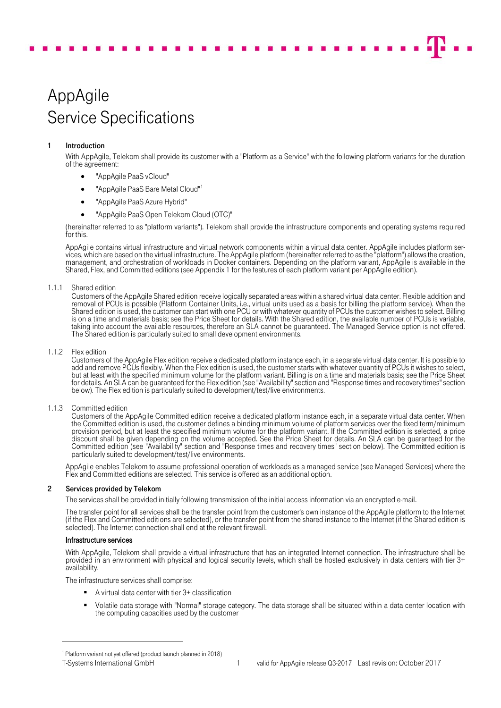# AppAgile Service Specifications

# 1 Introduction

With AppAgile, Telekom shall provide its customer with a "Platform as a Service" with the following platform variants for the duration of the agreement:

- "AppAgile PaaS vCloud"
- "AppAgile PaaS Bare Metal Cloud"<sup>[1](#page-0-0)</sup>
- "AppAgile PaaS Azure Hybrid"
- "AppAgile PaaS Open Telekom Cloud (OTC)"

(hereinafter referred to as "platform variants"). Telekom shall provide the infrastructure components and operating systems required for this.

AppAgile contains virtual infrastructure and virtual network components within a virtual data center. AppAgile includes platform services, which are based on the virtual infrastructure. The AppAgile platform (hereinafter referred to as the "platform") allows the creation, management, and orchestration of workloads in Docker containers. Depending on the platform variant, AppAgile is available in the Shared, Flex, and Committed editions (see Appendix 1 for the features of each platform variant per AppAgile edition).

# 1.1.1 Shared edition

Customers of the AppAgile Shared edition receive logically separated areas within a shared virtual data center. Flexible addition and removal of PCUs is possible (Platform Container Units, i.e., virtual units used as a basis for billing the platform service). When the Shared edition is used, the customer can start with one PCU or with whatever quantity of PCUs the customer wishes to select. Billing is on a time and materials basis; see the Price Sheet for details. With the Shared edition, the available number of PCUs is variable, taking into account the available resources, therefore an SLA cannot be guaranteed. The Managed Service option is not offered.<br>The Shared edition is particularly suited to small development environments.

## 1.1.2 Flex edition

Customers of the AppAgile Flex edition receive a dedicated platform instance each, in a separate virtual data center. It is possible to add and remove PCUs flexibly. When the Flex edition is used, the customer starts with whatever quantity of PCUs it wishes to select, but at least with the specified minimum volume for the platform variant. Billing is on a time and materials basis; see the Price Sheet for details. An SLA can be guaranteed for the Flex edition (see "Availability" section and "Response times and recovery times" section below). The Flex edition is particularly suited to development/test/live environments.

# 1.1.3 Committed edition

Customers of the AppAgile Committed edition receive a dedicated platform instance each, in a separate virtual data center. When the Committed edition is used, the customer defines a binding minimum volume of platform services over the fixed term/minimum provision period, but at least the specified minimum volume for the platform variant. If the Committed edition is selected, a price discount shall be given depending on the volume accepted. See the Price Sheet for details. An SLA can be guaranteed for the Committed edition (see "Availability" section and "Response times and recovery times" section below). The Committed edition is particularly suited to development/test/live environments.

AppAgile enables Telekom to assume professional operation of workloads as a managed service (see [Managed Services\)](#page-3-0) where the Flex and Committed editions are selected. This service is offered as an additional option.

# 2 Services provided by Telekom

The services shall be provided initially following transmission of the initial access information via an encrypted e-mail.

The transfer point for all services shall be the transfer point from the customer's own instance of the AppAgile platform to the Internet (if the Flex and Committed editions are selected), or the transfer point from the shared instance to the Internet (if the Shared edition is selected). The Internet connection shall end at the relevant firewall.

# Infrastructure services

With AppAgile, Telekom shall provide a virtual infrastructure that has an integrated Internet connection. The infrastructure shall be provided in an environment with physical and logical security levels, which shall be hosted exclusively in data centers with tier 3+ availability.

The infrastructure services shall comprise:

- A virtual data center with tier 3+ classification
- Volatile data storage with "Normal" storage category. The data storage shall be situated within a data center location with the computing capacities used by the customer

 $\overline{a}$ 

<span id="page-0-0"></span><sup>1</sup> Platform variant not yet offered (product launch planned in 2018)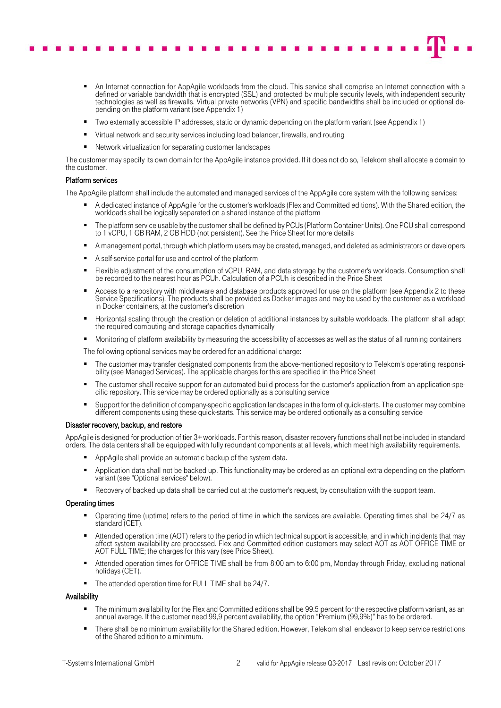

- An Internet connection for AppAgile workloads from the cloud. This service shall comprise an Internet connection with a defined or variable bandwidth that is encrypted (SSL) and protected by multiple security levels, with independent security technologies as well as firewalls. Virtual private networks (VPN) and specific bandwidths shall be included or optional depending on the platform variant (see Appendix 1)
- Two externally accessible IP addresses, static or dynamic depending on the platform variant (see Appendix 1)
- Virtual network and security services including load balancer, firewalls, and routing
- Network virtualization for separating customer landscapes

The customer may specify its own domain for the AppAgile instance provided. If it does not do so, Telekom shall allocate a domain to the customer.

### Platform services

The AppAgile platform shall include the automated and managed services of the AppAgile core system with the following services:

- A dedicated instance of AppAgile for the customer's workloads (Flex and Committed editions). With the Shared edition, the workloads shall be logically separated on a shared instance of the platform
- The platform service usable by the customer shall be defined by PCUs (Platform Container Units). One PCU shall correspond to 1 vCPU, 1 GB RAM, 2 GB HDD (not persistent). See the Price Sheet for more details
- A management portal, through which platform users may be created, managed, and deleted as administrators or developers
- A self-service portal for use and control of the platform
- Flexible adjustment of the consumption of vCPU, RAM, and data storage by the customer's workloads. Consumption shall be recorded to the nearest hour as PCUh. Calculation of a PCUh is described in the Price Sheet
- Access to a repository with middleware and database products approved for use on the platform (see Appendix 2 to these Service Specifications). The products shall be provided as Docker images and may be used by the customer as a workload in Docker containers, at the customer's discretion
- Horizontal scaling through the creation or deletion of additional instances by suitable workloads. The platform shall adapt the required computing and storage capacities dynamically
- Monitoring of platform availability by measuring the accessibility of accesses as well as the status of all running containers

The following optional services may be ordered for an additional charge:

- The customer may transfer designated components from the above-mentioned repository to Telekom's operating responsibility (see Managed Services). The applicable charges for this are specified in the Price Sheet
- The customer shall receive support for an automated build process for the customer's application from an application-specific repository. This service may be ordered optionally as a consulting service
- Support for the definition of company-specific application landscapes in the form of quick-starts. The customer may combine different components using these quick-starts. This service may be ordered optionally as a consulting service

#### Disaster recovery, backup, and restore

AppAgile is designed for production of tier 3+ workloads. For this reason, disaster recovery functions shall not be included in standard orders. The data centers shall be equipped with fully redundant components at all levels, which meet high availability requirements.

- AppAgile shall provide an automatic backup of the system data.
- Application data shall not be backed up. This functionality may be ordered as an optional extra depending on the platform variant (see "Optional services" below).
- Recovery of backed up data shall be carried out at the customer's request, by consultation with the support team.

#### Operating times

- Operating time (uptime) refers to the period of time in which the services are available. Operating times shall be 24/7 as standard (CET).
- Attended operation time (AOT) refers to the period in which technical support is accessible, and in which incidents that may affect system availability are processed. Flex and Committed edition customers may select AOT as AOT OFFICE TIME or AOT FULL TIME; the charges for this vary (see Price Sheet).
- Attended operation times for OFFICE TIME shall be from 8:00 am to 6:00 pm, Monday through Friday, excluding national holidays (CET).
- The attended operation time for FULL TIME shall be 24/7.

#### Availability

- The minimum availability for the Flex and Committed editions shall be 99.5 percent for the respective platform variant, as an annual average. If the customer need 99,9 percent availability, the option "Premium (99,9%)" has to be ordered.
- There shall be no minimum availability for the Shared edition. However, Telekom shall endeavor to keep service restrictions of the Shared edition to a minimum.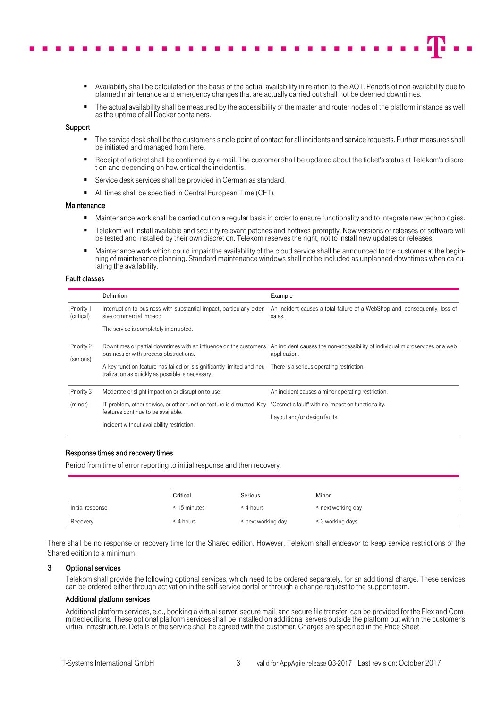- Availability shall be calculated on the basis of the actual availability in relation to the AOT. Periods of non-availability due to planned maintenance and emergency changes that are actually carried out shall not be deemed downtimes.
- The actual availability shall be measured by the accessibility of the master and router nodes of the platform instance as well as the uptime of all Docker containers.

# **Support**

- The service desk shall be the customer's single point of contact for all incidents and service requests. Further measures shall be initiated and managed from here.
- Receipt of a ticket shall be confirmed by e-mail. The customer shall be updated about the ticket's status at Telekom's discretion and depending on how critical the incident is.
- Service desk services shall be provided in German as standard.
- All times shall be specified in Central European Time (CET).

## Maintenance

- **Maintenance work shall be carried out on a regular basis in order to ensure functionality and to integrate new technologies.**
- Telekom will install available and security relevant patches and hotfixes promptly. New versions or releases of software will be tested and installed by their own discretion. Telekom reserves the right, not to install new updates or releases.
- Maintenance work which could impair the availability of the cloud service shall be announced to the customer at the beginning of maintenance planning. Standard maintenance windows shall not be included as unplanned downtimes when calculating the availability.

#### Fault classes

|                          | Definition                                                                                                                                                           | Example                                                                                                                                                          |  |  |  |  |  |  |
|--------------------------|----------------------------------------------------------------------------------------------------------------------------------------------------------------------|------------------------------------------------------------------------------------------------------------------------------------------------------------------|--|--|--|--|--|--|
| Priority 1<br>(critical) | Interruption to business with substantial impact, particularly exten-<br>sive commercial impact:                                                                     | An incident causes a total failure of a WebShop and, consequently, loss of<br>sales.                                                                             |  |  |  |  |  |  |
|                          | The service is completely interrupted.                                                                                                                               |                                                                                                                                                                  |  |  |  |  |  |  |
| Priority 2<br>(serious)  | business or with process obstructions.                                                                                                                               | Downtimes or partial downtimes with an influence on the customer's An incident causes the non-accessibility of individual microservices or a web<br>application. |  |  |  |  |  |  |
|                          | A key function feature has failed or is significantly limited and neu- There is a serious operating restriction.<br>tralization as quickly as possible is necessary. |                                                                                                                                                                  |  |  |  |  |  |  |
| Priority 3               | Moderate or slight impact on or disruption to use:                                                                                                                   | An incident causes a minor operating restriction.                                                                                                                |  |  |  |  |  |  |
| (minor)                  | IT problem, other service, or other function feature is disrupted. Key "Cosmetic fault" with no impact on functionality.                                             |                                                                                                                                                                  |  |  |  |  |  |  |
|                          | features continue to be available.                                                                                                                                   | Layout and/or design faults.                                                                                                                                     |  |  |  |  |  |  |
|                          | Incident without availability restriction.                                                                                                                           |                                                                                                                                                                  |  |  |  |  |  |  |

## Response times and recovery times

Period from time of error reporting to initial response and then recovery.

|                  | Critical          | Serious                 | Minor                   |
|------------------|-------------------|-------------------------|-------------------------|
| Initial response | $\leq$ 15 minutes | $\leq$ 4 hours          | $\leq$ next working day |
| Recovery         | $\leq$ 4 hours    | $\leq$ next working day | $\leq$ 3 working days   |

There shall be no response or recovery time for the Shared edition. However, Telekom shall endeavor to keep service restrictions of the Shared edition to a minimum.

#### 3 Optional services

Telekom shall provide the following optional services, which need to be ordered separately, for an additional charge. These services can be ordered either through activation in the self-service portal or through a change request to the support team.

#### Additional platform services

Additional platform services, e.g., booking a virtual server, secure mail, and secure file transfer, can be provided for the Flex and Committed editions. These optional platform services shall be installed on additional servers outside the platform but within the customer's virtual infrastructure. Details of the service shall be agreed with the customer. Charges are specified in the Price Sheet.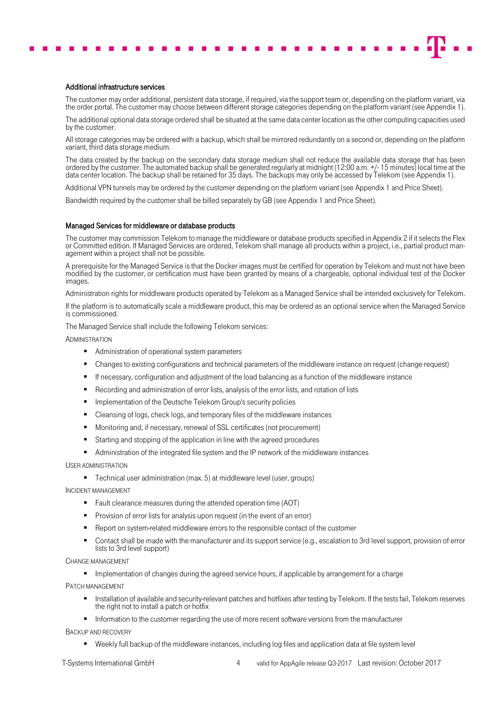# Additional infrastructure services

The customer may order additional, persistent data storage, if required, via the support team or, depending on the platform variant, via the order portal. The customer may choose between different storage categories depending on the platform variant (see Appendix 1).

The additional optional data storage ordered shall be situated at the same data center location as the other computing capacities used by the customer.

All storage categories may be ordered with a backup, which shall be mirrored redundantly on a second or, depending on the platform variant, third data storage medium.

The data created by the backup on the secondary data storage medium shall not reduce the available data storage that has been ordered by the customer. The automated backup shall be generated regularly at midnight (12:00 a.m. +/- 15 minutes) local time at the data center location. The backup shall be retained for 35 days. The backups may only be accessed by Telekom (see Appendix 1).

Additional VPN tunnels may be ordered by the customer depending on the platform variant (see Appendix 1 and Price Sheet).

<span id="page-3-0"></span>Bandwidth required by the customer shall be billed separately by GB (see Appendix 1 and Price Sheet).

### Managed Services for middleware or database products

The customer may commission Telekom to manage the middleware or database products specified in Appendix 2 if it selects the Flex or Committed edition. If Managed Services are ordered, Telekom shall manage all products within a project, i.e., partial product management within a project shall not be possible.

A prerequisite for the Managed Service is that the Docker images must be certified for operation by Telekom and must not have been modified by the customer, or certification must have been granted by means of a chargeable, optional individual test of the Docker images.

Administration rights for middleware products operated by Telekom as a Managed Service shall be intended exclusively for Telekom.

If the platform is to automatically scale a middleware product, this may be ordered as an optional service when the Managed Service is commissioned.

The Managed Service shall include the following Telekom services:

**ADMINISTRATION** 

- Administration of operational system parameters
- Changes to existing configurations and technical parameters of the middleware instance on request (change request)
- If necessary, configuration and adjustment of the load balancing as a function of the middleware instance
- Recording and administration of error lists, analysis of the error lists, and rotation of lists
- **Implementation of the Deutsche Telekom Group's security policies**
- Cleansing of logs, check logs, and temporary files of the middleware instances
- Monitoring and, if necessary, renewal of SSL certificates (not procurement)
- Starting and stopping of the application in line with the agreed procedures
- Administration of the integrated file system and the IP network of the middleware instances

USER ADMINISTRATION

■ Technical user administration (max. 5) at middleware level (user, groups)

INCIDENT MANAGEMENT

- Fault clearance measures during the attended operation time (AOT)
- **Provision of error lists for analysis upon request (in the event of an error)**
- Report on system-related middleware errors to the responsible contact of the customer
- Contact shall be made with the manufacturer and its support service (e.g., escalation to 3rd level support, provision of error lists to 3rd level support)

CHANGE MANAGEMENT

■ Implementation of changes during the agreed service hours, if applicable by arrangement for a charge

PATCH MANAGEMENT

- Installation of available and security-relevant patches and hotfixes after testing by Telekom. If the tests fail, Telekom reserves the right not to install a patch or hotfix
- **Information to the customer regarding the use of more recent software versions from the manufacturer**

BACKUP AND RECOVERY

- Weekly full backup of the middleware instances, including log files and application data at file system level
- 
- T-Systems International GmbH 4 valid for AppAgile release Q3-2017 Last revision: October 2017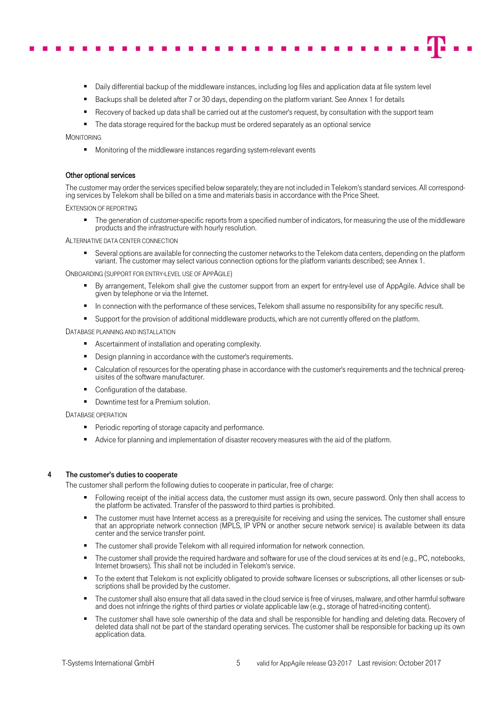- Daily differential backup of the middleware instances, including log files and application data at file system level
- Backups shall be deleted after 7 or 30 days, depending on the platform variant. See Annex 1 for details
- Recovery of backed up data shall be carried out at the customer's request, by consultation with the support team
- The data storage required for the backup must be ordered separately as an optional service

MONITORING

Monitoring of the middleware instances regarding system-relevant events

# Other optional services

The customer may order the services specified below separately; they are not included in Telekom's standard services. All corresponding services by Telekom shall be billed on a time and materials basis in accordance with the Price Sheet.

EXTENSION OF REPORTING

 The generation of customer-specific reports from a specified number of indicators, for measuring the use of the middleware products and the infrastructure with hourly resolution.

ALTERNATIVE DATA CENTER CONNECTION

 Several options are available for connecting the customer networks to the Telekom data centers, depending on the platform variant. The customer may select various connection options for the platform variants described; see Annex 1.

ONBOARDING (SUPPORT FOR ENTRY-LEVEL USE OF APPAGILE)

- By arrangement, Telekom shall give the customer support from an expert for entry-level use of AppAgile. Advice shall be given by telephone or via the Internet.
- In connection with the performance of these services, Telekom shall assume no responsibility for any specific result.
- **Support for the provision of additional middleware products, which are not currently offered on the platform.**

#### DATABASE PLANNING AND INSTALLATION

- **Ascertainment of installation and operating complexity.**
- Design planning in accordance with the customer's requirements.
- Calculation of resources for the operating phase in accordance with the customer's requirements and the technical prerequisites of the software manufacturer.
- Configuration of the database.
- Downtime test for a Premium solution.

DATABASE OPERATION

- **Periodic reporting of storage capacity and performance.**
- Advice for planning and implementation of disaster recovery measures with the aid of the platform.

# 4 The customer's duties to cooperate

The customer shall perform the following duties to cooperate in particular, free of charge:

- Following receipt of the initial access data, the customer must assign its own, secure password. Only then shall access to the platform be activated. Transfer of the password to third parties is prohibited.
- The customer must have Internet access as a prerequisite for receiving and using the services. The customer shall ensure that an appropriate network connection (MPLS, IP VPN or another secure network service) is available between its data center and the service transfer point.
- The customer shall provide Telekom with all required information for network connection.
- The customer shall provide the required hardware and software for use of the cloud services at its end (e.g., PC, notebooks, Internet browsers). This shall not be included in Telekom's service.
- To the extent that Telekom is not explicitly obligated to provide software licenses or subscriptions, all other licenses or subscriptions shall be provided by the customer.
- The customer shall also ensure that all data saved in the cloud service is free of viruses, malware, and other harmful software and does not infringe the rights of third parties or violate applicable law (e.g., storage of hatred-inciting content).
- The customer shall have sole ownership of the data and shall be responsible for handling and deleting data. Recovery of deleted data shall not be part of the standard operating services. The customer shall be responsible for backing up its own application data.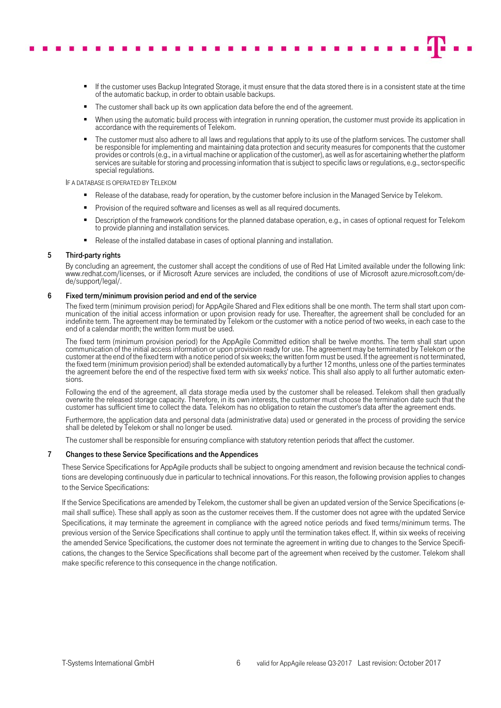- - If the customer uses Backup Integrated Storage, it must ensure that the data stored there is in a consistent state at the time of the automatic backup, in order to obtain usable backups.
	- The customer shall back up its own application data before the end of the agreement.
	- When using the automatic build process with integration in running operation, the customer must provide its application in accordance with the requirements of Telekom.
	- The customer must also adhere to all laws and regulations that apply to its use of the platform services. The customer shall be responsible for implementing and maintaining data protection and security measures for components that the customer provides or controls (e.g., in a virtual machine or application of the customer), as well as for ascertaining whether the platform services are suitable for storing and processing information that is subject to specific laws or regulations, e.g., sector-specific special regulations.

IF A DATABASE IS OPERATED BY TELEKOM

- **Release of the database, ready for operation, by the customer before inclusion in the Managed Service by Telekom.**
- Provision of the required software and licenses as well as all required documents.
- Description of the framework conditions for the planned database operation, e.g., in cases of optional request for Telekom to provide planning and installation services.
- Release of the installed database in cases of optional planning and installation.

# 5 Third-party rights

By concluding an agreement, the customer shall accept the conditions of use of Red Hat Limited available under the following link: www.redhat.com/licenses, or if Microsoft Azure services are included, the conditions of use of Microsoft azure.microsoft.com/de-<br>de/support/legal/.

## 6 Fixed term/minimum provision period and end of the service

The fixed term (minimum provision period) for AppAgile Shared and Flex editions shall be one month. The term shall start upon communication of the initial access information or upon provision ready for use. Thereafter, the agreement shall be concluded for an indefinite term. The agreement may be terminated by Telekom or the customer with a notice period of two weeks, in each case to the end of a calendar month; the written form must be used.

The fixed term (minimum provision period) for the AppAgile Committed edition shall be twelve months. The term shall start upon communication of the initial access information or upon provision ready for use. The agreement may be terminated by Telekom or the customer at the end of the fixed term with a notice period of six weeks; the written form must be used. If the agreement is not terminated, the fixed term (minimum provision period) shall be extended automatically by a further 12 months, unless one of the parties terminates the agreement before the end of the respective fixed term with six weeks' notice. This shall also apply to all further automatic extensions.

Following the end of the agreement, all data storage media used by the customer shall be released. Telekom shall then gradually overwrite the released storage capacity. Therefore, in its own interests, the customer must choose the termination date such that the customer has sufficient time to collect the data. Telekom has no obligation to retain the customer's data after the agreement ends.

Furthermore, the application data and personal data (administrative data) used or generated in the process of providing the service shall be deleted by Telekom or shall no longer be used.

The customer shall be responsible for ensuring compliance with statutory retention periods that affect the customer.

## 7 Changes to these Service Specifications and the Appendices

These Service Specifications for AppAgile products shall be subject to ongoing amendment and revision because the technical conditions are developing continuously due in particular to technical innovations. For this reason, the following provision applies to changes to the Service Specifications:

If the Service Specifications are amended by Telekom, the customer shall be given an updated version of the Service Specifications (email shall suffice). These shall apply as soon as the customer receives them. If the customer does not agree with the updated Service Specifications, it may terminate the agreement in compliance with the agreed notice periods and fixed terms/minimum terms. The previous version of the Service Specifications shall continue to apply until the termination takes effect. If, within six weeks of receiving the amended Service Specifications, the customer does not terminate the agreement in writing due to changes to the Service Specifications, the changes to the Service Specifications shall become part of the agreement when received by the customer. Telekom shall make specific reference to this consequence in the change notification.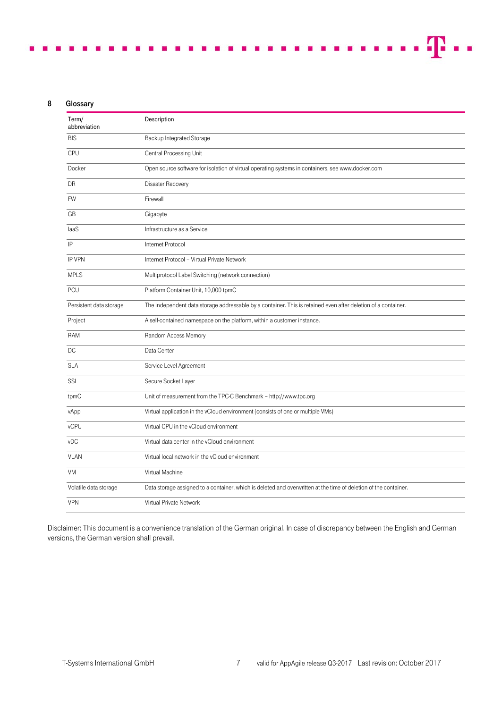# 8 Glossary

| Term/<br>abbreviation   | Description                                                                                                      |
|-------------------------|------------------------------------------------------------------------------------------------------------------|
| <b>BIS</b>              | Backup Integrated Storage                                                                                        |
| <b>CPU</b>              | Central Processing Unit                                                                                          |
| Docker                  | Open source software for isolation of virtual operating systems in containers, see www.docker.com                |
| DR                      | Disaster Recovery                                                                                                |
| <b>FW</b>               | Firewall                                                                                                         |
| GB                      | Gigabyte                                                                                                         |
| laaS                    | Infrastructure as a Service                                                                                      |
| IP                      | Internet Protocol                                                                                                |
| <b>IP VPN</b>           | Internet Protocol - Virtual Private Network                                                                      |
| <b>MPLS</b>             | Multiprotocol Label Switching (network connection)                                                               |
| <b>PCU</b>              | Platform Container Unit, 10,000 tpmC                                                                             |
| Persistent data storage | The independent data storage addressable by a container. This is retained even after deletion of a container.    |
| Project                 | A self-contained namespace on the platform, within a customer instance.                                          |
| <b>RAM</b>              | Random Access Memory                                                                                             |
| DC                      | Data Center                                                                                                      |
| <b>SLA</b>              | Service Level Agreement                                                                                          |
| <b>SSL</b>              | Secure Socket Layer                                                                                              |
| tpmC                    | Unit of measurement from the TPC-C Benchmark - http://www.tpc.org                                                |
| vApp                    | Virtual application in the vCloud environment (consists of one or multiple VMs)                                  |
| vCPU                    | Virtual CPU in the vCloud environment                                                                            |
| vDC                     | Virtual data center in the vCloud environment                                                                    |
| <b>VLAN</b>             | Virtual local network in the vCloud environment                                                                  |
| <b>VM</b>               | Virtual Machine                                                                                                  |
| Volatile data storage   | Data storage assigned to a container, which is deleted and overwritten at the time of deletion of the container. |
| <b>VPN</b>              | Virtual Private Network                                                                                          |

 $\blacksquare$ 

 $\blacksquare$ 

- 11 - 6

**COL**  $\sim$  $\sim$ 

Disclaimer: This document is a convenience translation of the German original. In case of discrepancy between the English and German versions, the German version shall prevail.

æ.,

r

**THE REAL PROPERTY**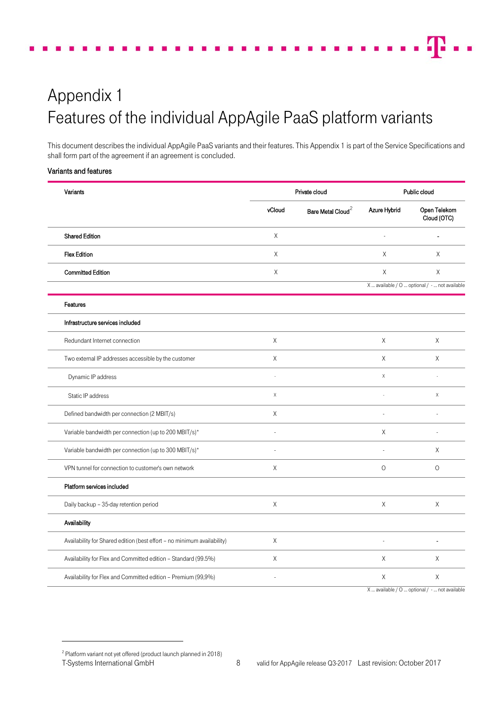# Appendix 1 Features of the individual AppAgile PaaS platform variants

This document describes the individual AppAgile PaaS variants and their features. This Appendix 1 is part of the Service Specifications and shall form part of the agreement if an agreement is concluded.

# Variants and features

| Variants                                                                |             | Private cloud                 | Public cloud |                                               |  |  |  |
|-------------------------------------------------------------------------|-------------|-------------------------------|--------------|-----------------------------------------------|--|--|--|
|                                                                         | vCloud      | Bare Metal Cloud <sup>2</sup> | Azure Hybrid | Open Telekom<br>Cloud (OTC)                   |  |  |  |
| <b>Shared Edition</b>                                                   | $\times$    |                               |              |                                               |  |  |  |
| <b>Flex Edition</b>                                                     | X           |                               | X            | Χ                                             |  |  |  |
| <b>Committed Edition</b>                                                | $\times$    |                               | X            | Χ                                             |  |  |  |
|                                                                         |             |                               |              | X  available / O  optional / -  not available |  |  |  |
| Features                                                                |             |                               |              |                                               |  |  |  |
| Infrastructure services included                                        |             |                               |              |                                               |  |  |  |
| Redundant Internet connection                                           | X           |                               | X            | X                                             |  |  |  |
| Two external IP addresses accessible by the customer                    | X           |                               | Χ            | X                                             |  |  |  |
| Dynamic IP address                                                      |             |                               | $\mathsf X$  |                                               |  |  |  |
| Static IP address                                                       | $\mathsf X$ |                               |              | $\mathsf X$                                   |  |  |  |
| Defined bandwidth per connection (2 MBIT/s)                             | Χ           |                               |              |                                               |  |  |  |
| Variable bandwidth per connection (up to 200 MBIT/s)*                   |             |                               | X            | $\overline{a}$                                |  |  |  |
| Variable bandwidth per connection (up to 300 MBIT/s)*                   |             |                               |              | X                                             |  |  |  |
| VPN tunnel for connection to customer's own network                     | X           |                               | $\circ$      | $\circ$                                       |  |  |  |
| Platform services included                                              |             |                               |              |                                               |  |  |  |
| Daily backup - 35-day retention period                                  | X           |                               | Χ            | Χ                                             |  |  |  |
| Availability                                                            |             |                               |              |                                               |  |  |  |
| Availability for Shared edition (best effort - no minimum availability) | Χ           |                               |              |                                               |  |  |  |
| Availability for Flex and Committed edition - Standard (99.5%)          | Χ           |                               | Χ            | X                                             |  |  |  |
| Availability for Flex and Committed edition - Premium (99,9%)           |             |                               | Χ            | $\mathsf X$                                   |  |  |  |
|                                                                         |             |                               |              |                                               |  |  |  |

X … available / O … optional / - … not available

 $\overline{a}$ 

<span id="page-7-0"></span><sup>&</sup>lt;sup>2</sup> Platform variant not yet offered (product launch planned in 2018)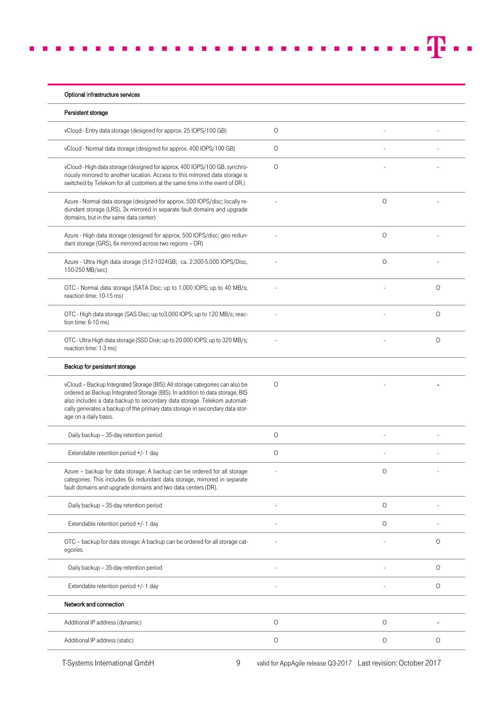| Persistent storage                                                                                                                                                                                                                                                                                                                                |         |         |         |
|---------------------------------------------------------------------------------------------------------------------------------------------------------------------------------------------------------------------------------------------------------------------------------------------------------------------------------------------------|---------|---------|---------|
|                                                                                                                                                                                                                                                                                                                                                   |         |         |         |
| vCloud - Entry data storage (designed for approx. 25 IOPS/100 GB)                                                                                                                                                                                                                                                                                 | $\circ$ |         |         |
| vCloud - Normal data storage (designed for approx. 400 IOPS/100 GB)                                                                                                                                                                                                                                                                               | $\circ$ |         |         |
| vCloud - High data storage (designed for approx. 400 IOPS/100 GB, synchro-<br>nously mirrored to another location. Access to this mirrored data storage is<br>switched by Telekom for all customers at the same time in the event of DR.)                                                                                                         | $\circ$ |         |         |
| Azure - Normal data storage (designed for approx. 500 IOPS/disc; locally re-<br>dundant storage (LRS), 3x mirrored in separate fault domains and upgrade<br>domains, but in the same data center)                                                                                                                                                 |         | $\circ$ |         |
| Azure - High data storage (designed for approx. 500 IOPS/disc; geo redun-<br>dant storage (GRS), 6x mirrored across two regions - DR)                                                                                                                                                                                                             |         | $\circ$ |         |
| Azure - Ultra High data storage (512-1024GB; ca. 2.300-5.000 IOPS/Disc,<br>150-250 MB/sec)                                                                                                                                                                                                                                                        |         | $\circ$ |         |
| OTC - Normal data storage (SATA Disc; up to 1.000 IOPS; up to 40 MB/s;<br>reaction time: 10-15 ms)                                                                                                                                                                                                                                                |         |         | $\circ$ |
| OTC - High data storage (SAS Disc; up to 3.000 IOPS; up to 120 MB/s; reac-<br>tion time: 6-10 ms)                                                                                                                                                                                                                                                 |         |         | 0       |
| OTC - Ultra High data storage (SSD Disk; up to 20.000 IOPS; up to 320 MB/s;<br>reaction time: 1-3 ms)                                                                                                                                                                                                                                             |         |         | 0       |
| Backup for persistent storage                                                                                                                                                                                                                                                                                                                     |         |         |         |
| vCloud - Backup Integrated Storage (BIS): All storage categories can also be<br>ordered as Backup Integrated Storage (BIS). In addition to data storage, BIS<br>also includes a data backup to secondary data storage. Telekom automati-<br>cally generates a backup of the primary data storage in secondary data stor-<br>age on a daily basis. | $\circ$ |         |         |
| Daily backup - 35-day retention period                                                                                                                                                                                                                                                                                                            | 0       |         |         |
| Extendable retention period +/- 1 day                                                                                                                                                                                                                                                                                                             | 0       |         |         |
| Azure - backup for data storage: A backup can be ordered for all storage<br>categories. This includes 6x redundant data storage, mirrored in separate<br>fault domains and upgrade domains and two data centers (DR).                                                                                                                             |         | $\circ$ |         |
| Daily backup - 35-day retention period                                                                                                                                                                                                                                                                                                            |         | $\circ$ |         |
| Extendable retention period +/- 1 day                                                                                                                                                                                                                                                                                                             |         | $\circ$ |         |
| OTC - backup for data storage: A backup can be ordered for all storage cat-<br>egories.                                                                                                                                                                                                                                                           |         |         | 0       |
| Daily backup - 35-day retention period                                                                                                                                                                                                                                                                                                            |         |         | $\circ$ |
| Extendable retention period +/- 1 day                                                                                                                                                                                                                                                                                                             |         |         | 0       |
| Network and connection                                                                                                                                                                                                                                                                                                                            |         |         |         |
| Additional IP address (dynamic)                                                                                                                                                                                                                                                                                                                   | $\circ$ | $\circ$ |         |
| Additional IP address (static)                                                                                                                                                                                                                                                                                                                    |         | $\circ$ |         |

T-Systems International GmbH 9 valid for AppAgile release Q3-2017 Last revision: October 2017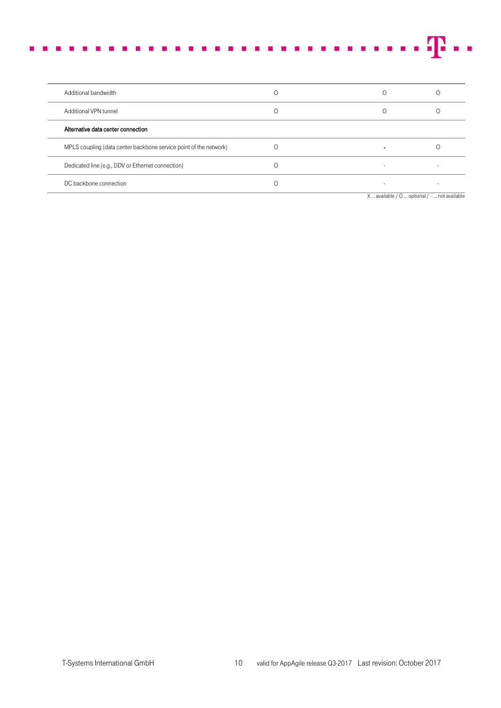|  |  |  |  |  |  |  |  |  |  |  |  |  |  |  |  | verseers en een een een een een een en <b>T</b> er |
|--|--|--|--|--|--|--|--|--|--|--|--|--|--|--|--|----------------------------------------------------|
|  |  |  |  |  |  |  |  |  |  |  |  |  |  |  |  |                                                    |
|  |  |  |  |  |  |  |  |  |  |  |  |  |  |  |  |                                                    |

| Additional bandwidth                                              |  |                                               |
|-------------------------------------------------------------------|--|-----------------------------------------------|
| Additional VPN tunnel                                             |  |                                               |
| Alternative data center connection                                |  |                                               |
| MPLS coupling (data center backbone service point of the network) |  |                                               |
| Dedicated line (e.g., DDV or Ethernet connection)                 |  |                                               |
| DC backbone connection                                            |  |                                               |
|                                                                   |  | X  available / O  optional / -  not available |